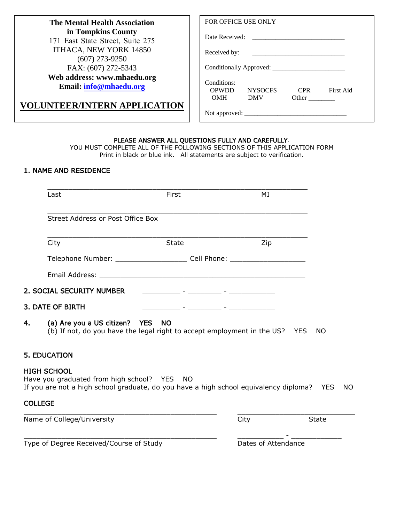| <b>The Mental Health Association</b>                   | <b>FOR OFFICE USE ONLY</b>                                                                          |
|--------------------------------------------------------|-----------------------------------------------------------------------------------------------------|
| in Tompkins County<br>171 East State Street, Suite 275 | Date Received:                                                                                      |
| ITHACA, NEW YORK 14850<br>$(607)$ 273-9250             | Received by:                                                                                        |
| FAX: (607) 272-5343                                    |                                                                                                     |
| Web address: www.mhaedu.org<br>Email: info@mhaedu.org  | Conditions:<br><b>First Aid</b><br><b>OPWDD</b><br><b>CPR</b><br><b>NYSOCES</b><br>OMH DMV<br>Other |
| <b>VOLUNTEER/INTERN APPLICATION</b>                    |                                                                                                     |

#### PLEASE ANSWER ALL QUESTIONS FULLY AND CAREFULLY.

YOU MUST COMPLETE ALL OF THE FOLLOWING SECTIONS OF THIS APPLICATION FORM Print in black or blue ink. All statements are subject to verification.

# 1. NAME AND RESIDENCE

|                | Last                                                                                                                                                           | First                                                                                                                 | МI                                                                                                                    |              |
|----------------|----------------------------------------------------------------------------------------------------------------------------------------------------------------|-----------------------------------------------------------------------------------------------------------------------|-----------------------------------------------------------------------------------------------------------------------|--------------|
|                | Street Address or Post Office Box                                                                                                                              |                                                                                                                       |                                                                                                                       |              |
|                | City                                                                                                                                                           | <b>State</b>                                                                                                          | Zip                                                                                                                   |              |
|                | Telephone Number: _________________________ Cell Phone: ________________________                                                                               |                                                                                                                       |                                                                                                                       |              |
|                |                                                                                                                                                                |                                                                                                                       |                                                                                                                       |              |
|                | 2. SOCIAL SECURITY NUMBER                                                                                                                                      | <u> 1999 - Johann John Stone, fysikk fysikk fysikk fysikk fysikk fysikk fysikk fysikk fysikk fysikk fysikk fysikk</u> |                                                                                                                       |              |
|                | 3. DATE OF BIRTH                                                                                                                                               |                                                                                                                       | <u> - 1990 - 1990 - 1990 - 1990 - 1990 - 1990 - 1990 - 1990 - 1990 - 1990 - 1990 - 1990 - 1990 - 1990 - 1990 - 19</u> |              |
| 4.             | (a) Are you a US citizen? YES NO<br>(b) If not, do you have the legal right to accept employment in the US? YES                                                |                                                                                                                       |                                                                                                                       | NO.          |
|                | <b>5. EDUCATION</b>                                                                                                                                            |                                                                                                                       |                                                                                                                       |              |
|                | <b>HIGH SCHOOL</b><br>Have you graduated from high school? YES NO<br>If you are not a high school graduate, do you have a high school equivalency diploma? YES |                                                                                                                       |                                                                                                                       | NO.          |
| <b>COLLEGE</b> |                                                                                                                                                                |                                                                                                                       |                                                                                                                       |              |
|                | Name of College/University                                                                                                                                     |                                                                                                                       | City                                                                                                                  | <b>State</b> |
|                | Type of Degree Received/Course of Study                                                                                                                        |                                                                                                                       | Dates of Attendance                                                                                                   |              |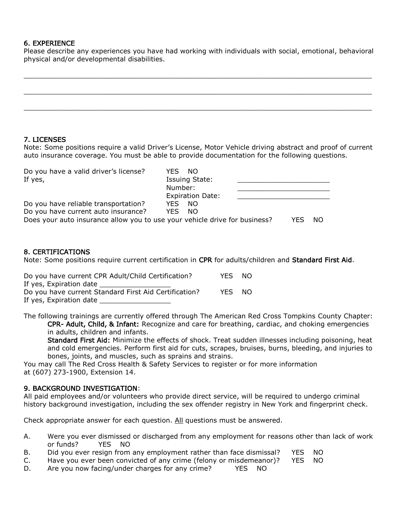### 6. EXPERIENCE

Please describe any experiences you have had working with individuals with social, emotional, behavioral physical and/or developmental disabilities.

### 7. LICENSES

Note: Some positions require a valid Driver's License, Motor Vehicle driving abstract and proof of current auto insurance coverage. You must be able to provide documentation for the following questions.

| Do you have a valid driver's license?                                      | YFS.<br>NO.             |      |     |
|----------------------------------------------------------------------------|-------------------------|------|-----|
| If yes,                                                                    | <b>Issuing State:</b>   |      |     |
|                                                                            | Number:                 |      |     |
|                                                                            | <b>Expiration Date:</b> |      |     |
| Do you have reliable transportation?                                       | -NO<br>YES.             |      |     |
| Do you have current auto insurance?                                        | YES.<br>NO.             |      |     |
| Does your auto insurance allow you to use your vehicle drive for business? |                         | YFS. | NO. |
|                                                                            |                         |      |     |

### 8. CERTIFICATIONS

Note: Some positions require current certification in CPR for adults/children and Standard First Aid.

| Do you have current CPR Adult/Child Certification?    | YES.       | NO.  |
|-------------------------------------------------------|------------|------|
| If yes, Expiration date                               |            |      |
| Do you have current Standard First Aid Certification? | <b>YES</b> | - NO |
| If yes, Expiration date                               |            |      |

The following trainings are currently offered through The American Red Cross Tompkins County Chapter: CPR- Adult, Child, & Infant: Recognize and care for breathing, cardiac, and choking emergencies in adults, children and infants.

Standard First Aid: Minimize the effects of shock. Treat sudden illnesses including poisoning, heat and cold emergencies. Perform first aid for cuts, scrapes, bruises, burns, bleeding, and injuries to bones, joints, and muscles, such as sprains and strains.

You may call The Red Cross Health & Safety Services to register or for more information at (607) 273-1900, Extension 14.

## 9. BACKGROUND INVESTIGATION:

All paid employees and/or volunteers who provide direct service, will be required to undergo criminal history background investigation, including the sex offender registry in New York and fingerprint check.

Check appropriate answer for each question. All questions must be answered.

- A. Were you ever dismissed or discharged from any employment for reasons other than lack of work or funds? YES NO
- B. Did you ever resign from any employment rather than face dismissal? YES NO
- C. Have you ever been convicted of any crime (felony or misdemeanor)? YES NO
- D. Are you now facing/under charges for any crime? YES NO